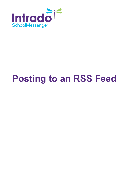

# **Posting to an RSS Feed**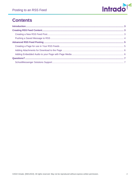

## **Contents**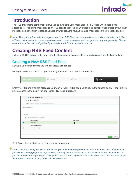

## <span id="page-2-0"></span>**Introduction**

The RSS messaging component allows you to syndicate your messages in RSS feeds which people may subscribe to. Publishing messages to an RSS feed is easy. You can create feed content while creating your other message components in Message Sender or while creating reusable saved messages in the Message Builder.

*Note: This guide will include the steps to post to an RSS Feed, and some advanced options related to that. You will need to know how to create a new broadcast, create messages, and navigate the program generally. Please refer to the online help and guides if you need more information on those tasks.*

## <span id="page-2-1"></span>**Creating RSS Feed Content**

Including RSS Feed content in your broadcast's message is as simple as including any other destination type.

#### <span id="page-2-2"></span>**Creating a New RSS Feed Post**

Navigate to the **Dashboard** tab and click **New Broadcast**.

Fill in your broadcast details as you normally would and then click the **Posts** tab.

| <b>Phone</b> | <b>O</b> Email | <b>O</b> SMS | <b>Posts</b><br>GN. |
|--------------|----------------|--------------|---------------------|
|              |                |              |                     |

Enter the **Title** and type the **Message** you wish for your RSS Feed post to say in the spaces below. Then, click to place a check in the box in the applicable **RSS Feed Category**.

|                          | Reed / Desktop / Push                                                                 |                         |                         |
|--------------------------|---------------------------------------------------------------------------------------|-------------------------|-------------------------|
|                          | Title <b>D C</b> Example RSS Post                                                     |                         |                         |
|                          | Message $\bullet$ Enter your message text below and select all applicable categories. |                         |                         |
| This is an example post. |                                                                                       |                         |                         |
| Spell Check              |                                                                                       |                         |                         |
|                          | Post to <b>D</b> Select channel(s) to post your message to.                           |                         |                         |
|                          | <b>Feed Category Name</b>                                                             | Feed Types <sup>®</sup> |                         |
| $\blacksquare$           | Schedule Changes                                                                      | $\mathbb{Z}$            |                         |
| $\Box$                   | Sports Lincoln High School                                                            |                         |                         |
| $\Box$                   | <b>Sports Lincoln Middle</b>                                                          |                         |                         |
|                          |                                                                                       |                         |                         |
|                          |                                                                                       |                         |                         |
|                          |                                                                                       |                         | Save<br><b>■</b> Delete |

Click **Save**, then continue with your broadcast as normal.

*Note: Just like posting to a social media site, you may attach Page Media to your RSS Feed post. If you know you will be creating page message content, you may want to discuss what will be found at the link attached to your RSS Feed message. Pages allow you to create a web page with a lot more information than will fit in simple RSS Feed content, including audio and file downloads.*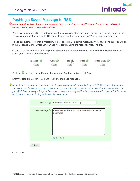

### <span id="page-3-0"></span>**Pushing a Saved Message to RSS**

*Important: Only those features that you have been granted access to will display. For access to additional features contact your system administrator.*

You can also create an RSS Feed component while creating other message content using the Message Editor. To learn more about setting up RSS Feeds, please view the *Configuring RSS Feeds* help documentation.

To use this tutorial, you should first follow the steps to create a saved message. If you have done this, you will be in the **Message Editor** where you can add new content using the **Message Content** grid.

Create a new saved message using the **Broadcasts** tab -> **Messages** sub-tab > **Add New Message** button. Name your message and click **Next**.



Click the **i**con next to the **Feed** in the **Message Content** grid and click **New**.

Enter the **Headline** of the RSS Feed Post, and the **Feed Message**.

*Note: Just like posting to a social media site, you may attach Page Media to your RSS Feed post. If you know you will be creating page message content, you may want to discuss what will be found at the link attached to your RSS Feed message. Pages allow you to create a web page with a lot more information than will fit in simple RSS Feed content, including audio and file downloads.*

|                | Headline Reminder: Event Coming Up                                          |
|----------------|-----------------------------------------------------------------------------|
| Feed Message O | Please remember that our annual LobsterFest is<br>next week.<br>Spell Check |
| Done           |                                                                             |

Click **Done**.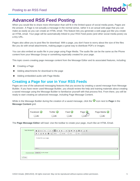

## <span id="page-4-0"></span>**Advanced RSS Feed Posting**

When you would like to share more information than will fit in the limited space of social media posts, Pages are the answer. A Page is not actually a message in the normal sense, rather it is an actual web page that you can make as easily as you can create an HTML email. This feature lets you generate a web page just like you create an HTML email. Your page will be automatically linked to your RSS Feed posts (and other social media posts) via a tiny URL.

Pages also allow you to post files for download. With a page, you don't have to worry about the size of the files like you do with email attachments, making pages a great way to distribute PDFs or images.

You can also embed an audio file in your page using Page Media. The audio file can be the same as the Phone content from your Message Group or something especially created for your page.

This topic covers creating page message content from the Message Editor and its associated features, including:

- Creating a Page
- Adding attachments for download to the page
- Adding embedded audio with Page Media

### <span id="page-4-1"></span>**Creating a Page for use in Your RSS Feeds**

Pages are one of the advanced messaging features that you access by creating a saved message from Message Builder. If you have never used Message Builder, you should review the help and training materials about creating a saved message using the Message Builder to familiarize yourself with that process first. From there, you will be ready to start creating an advanced message, including Page Message Content.

While in the Message Builder during the creation of a saved message, click the **in** icon next to **Page** in the **Message Content** grid.



The **Page Message Editor** will load. Use the toolbar to create your page, much like an HTML Email.

| Page Message @ | 這 10   量 量 量 量 10 10  <br><b>同</b> & Source<br>临梦<br>田 目<br>$\Box$ 24<br>$\overline{\phantom{a}}$<br>$\rightarrow$<br>$\circledast$<br>B $I \cup S \wedge A$ $\cup$ $I_x$<br>Styles<br>$\cdot$ .<br>Font<br>$\cdot$<br>Normal<br>$\check{}$<br>Size + | ▣ |
|----------------|-------------------------------------------------------------------------------------------------------------------------------------------------------------------------------------------------------------------------------------------------------|---|
|                | Content for your page                                                                                                                                                                                                                                 |   |
|                |                                                                                                                                                                                                                                                       |   |
|                | body p                                                                                                                                                                                                                                                |   |
|                |                                                                                                                                                                                                                                                       |   |
| Attachments    | Choose File No file chosen                                                                                                                                                                                                                            |   |
| <b>√</b> Done  |                                                                                                                                                                                                                                                       |   |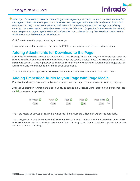#### Posting to an RSS Feed



*Note: If you have already created a content for your message using Microsoft Word and you want to paste that message into the HTML editor, you should be aware that. messages which are copied and pasted from Word (and other sources) contain extra, non-standard, information which may cause your message to not display correctly. The system will automatically remove most of this information for you, but for best results it is better to compose your message using the HTML editor if possible. If you choose to copy from Word and paste into the HTML editor, use the Paste from Word button.*

Click **Done** to save the page content in your message.

If you want to add attachments to your page, like PDF files or otherwise, see the next section of steps.

#### <span id="page-5-0"></span>**Adding Attachments for Download to the Page**

Notice the **Attachments** option at the bottom of the Page Message Editor. You may attach files to your page just like you would with an email. The difference is that when the page is created, these files will appear as links in a **Download** section. This is a great way to distribute files that are too big for email. Attachments to pages are not as limited in size and number as they are for email attachments.

To attach files to your page, click **Choose File** at the bottom of the editor, choose the file, and confirm.

#### <span id="page-5-1"></span>**Adding Embedded Audio to your Page with Page Media**

**Page Media** allows you to embed audio such as your phone message or some new audio file into your page.

After you've created your **Page** and clicked **Done**, go back to the **Message Editor** screen of your message, click the **O** icon next to **Page Media**.

| Facebook <b>O</b>        | Twitter © | Feed $\odot$ | Page <sup>O</sup>        | Page Media C |
|--------------------------|-----------|--------------|--------------------------|--------------|
| $\blacksquare$           |           |              | 7) <b>v</b>              |              |
| $\overline{\phantom{a}}$ | -         | $\,$         | $\overline{\phantom{a}}$ | -            |

The Page Media Editor works just like the Advanced Phone Message Editor, only without the data fields.

You can type a message in the **Advanced Message** field to have it read by a text-to-speech voice, **use Call Me to Record** to have the system call you to record an audio message or use **Audio Upload** to upload an audio file and insert it into the message.